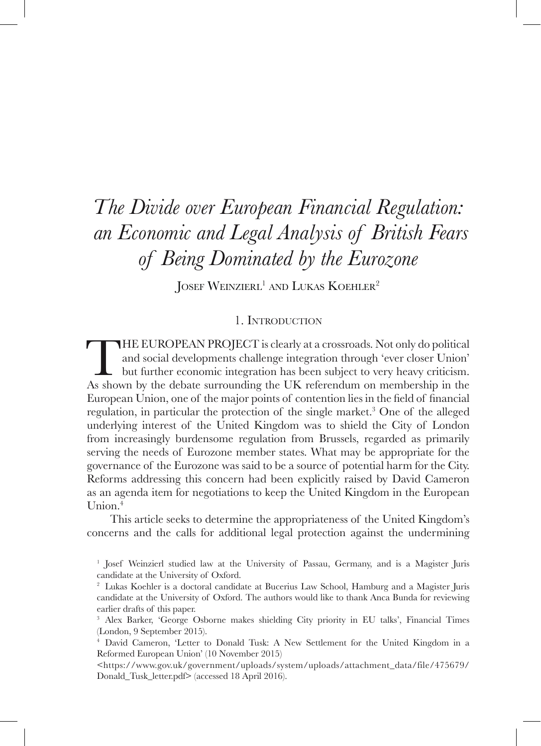# *The Divide over European Financial Regulation: an Economic and Legal Analysis of British Fears of Being Dominated by the Eurozone*

JOSEF WEINZIERL<sup>1</sup> AND LUKAS KOEHLER<sup>2</sup>

#### 1. Introduction

THE EUROPEAN PROJECT is clearly at a crossroads. Not only do political<br>and social developments challenge integration through 'ever closer Union'<br>but further economic integration has been subject to very heavy criticism.<br>As and social developments challenge integration through 'ever closer Union' but further economic integration has been subject to very heavy criticism. As shown by the debate surrounding the UK referendum on membership in the European Union, one of the major points of contention lies in the field of financial regulation, in particular the protection of the single market.<sup>3</sup> One of the alleged underlying interest of the United Kingdom was to shield the City of London from increasingly burdensome regulation from Brussels, regarded as primarily serving the needs of Eurozone member states. What may be appropriate for the governance of the Eurozone was said to be a source of potential harm for the City. Reforms addressing this concern had been explicitly raised by David Cameron as an agenda item for negotiations to keep the United Kingdom in the European Union.4

This article seeks to determine the appropriateness of the United Kingdom's concerns and the calls for additional legal protection against the undermining

<sup>1</sup> Josef Weinzierl studied law at the University of Passau, Germany, and is a Magister Juris candidate at the University of Oxford.

<sup>2</sup> Lukas Koehler is a doctoral candidate at Bucerius Law School, Hamburg and a Magister Juris candidate at the University of Oxford. The authors would like to thank Anca Bunda for reviewing earlier drafts of this paper.

<sup>3</sup> Alex Barker, 'George Osborne makes shielding City priority in EU talks', Financial Times (London, 9 September 2015).

<sup>4</sup> David Cameron, 'Letter to Donald Tusk: A New Settlement for the United Kingdom in a Reformed European Union' (10 November 2015)

<sup>&</sup>lt;https://www.gov.uk/government/uploads/system/uploads/attachment\_data/file/475679/ Donald\_Tusk\_letter.pdf> (accessed 18 April 2016).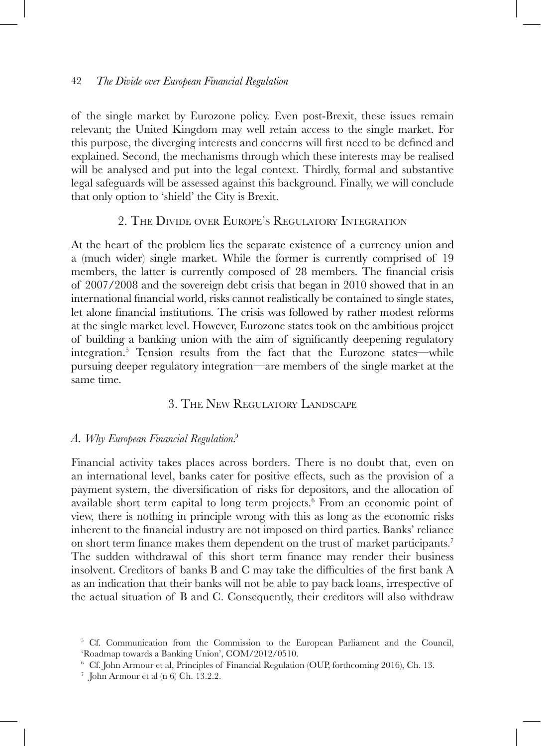of the single market by Eurozone policy. Even post-Brexit, these issues remain relevant; the United Kingdom may well retain access to the single market. For this purpose, the diverging interests and concerns will first need to be defined and explained. Second, the mechanisms through which these interests may be realised will be analysed and put into the legal context. Thirdly, formal and substantive legal safeguards will be assessed against this background. Finally, we will conclude that only option to 'shield' the City is Brexit.

### 2. The Divide over Europe's Regulatory Integration

At the heart of the problem lies the separate existence of a currency union and a (much wider) single market. While the former is currently comprised of 19 members, the latter is currently composed of 28 members. The financial crisis of 2007/2008 and the sovereign debt crisis that began in 2010 showed that in an international financial world, risks cannot realistically be contained to single states, let alone financial institutions. The crisis was followed by rather modest reforms at the single market level. However, Eurozone states took on the ambitious project of building a banking union with the aim of significantly deepening regulatory integration.5 Tension results from the fact that the Eurozone states—while pursuing deeper regulatory integration—are members of the single market at the same time.

# 3. The New Regulatory Landscape

#### *A. Why European Financial Regulation?*

Financial activity takes places across borders. There is no doubt that, even on an international level, banks cater for positive effects, such as the provision of a payment system, the diversification of risks for depositors, and the allocation of available short term capital to long term projects.<sup>6</sup> From an economic point of view, there is nothing in principle wrong with this as long as the economic risks inherent to the financial industry are not imposed on third parties. Banks' reliance on short term finance makes them dependent on the trust of market participants.<sup>7</sup> The sudden withdrawal of this short term finance may render their business insolvent. Creditors of banks B and C may take the difficulties of the first bank A as an indication that their banks will not be able to pay back loans, irrespective of the actual situation of B and C. Consequently, their creditors will also withdraw

<sup>&</sup>lt;sup>5</sup> Cf. Communication from the Commission to the European Parliament and the Council, 'Roadmap towards a Banking Union', COM/2012/0510.

<sup>6</sup> Cf. John Armour et al, Principles of Financial Regulation (OUP, forthcoming 2016), Ch. 13.

 $\frac{7}{1}$  John Armour et al (n 6) Ch. 13.2.2.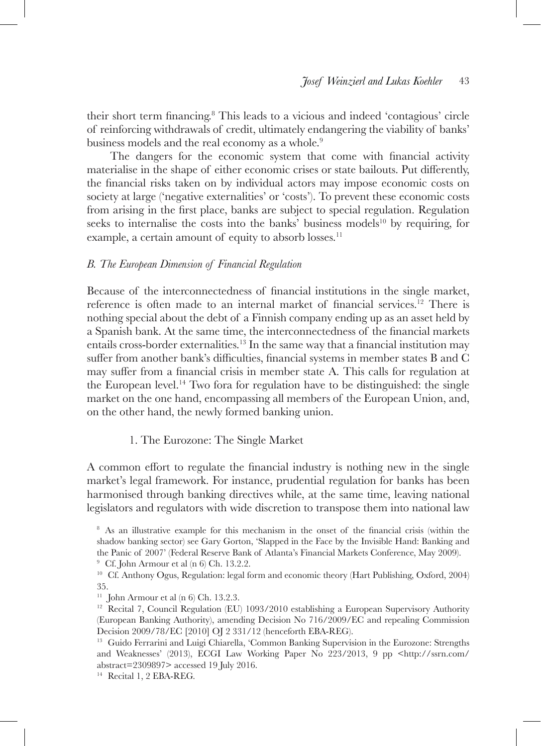their short term financing.<sup>8</sup> This leads to a vicious and indeed 'contagious' circle of reinforcing withdrawals of credit, ultimately endangering the viability of banks' business models and the real economy as a whole.<sup>9</sup>

The dangers for the economic system that come with financial activity materialise in the shape of either economic crises or state bailouts. Put differently, the financial risks taken on by individual actors may impose economic costs on society at large ('negative externalities' or 'costs'). To prevent these economic costs from arising in the first place, banks are subject to special regulation. Regulation seeks to internalise the costs into the banks' business models<sup>10</sup> by requiring, for example, a certain amount of equity to absorb losses.<sup>11</sup>

#### *B. The European Dimension of Financial Regulation*

Because of the interconnectedness of financial institutions in the single market, reference is often made to an internal market of financial services.12 There is nothing special about the debt of a Finnish company ending up as an asset held by a Spanish bank. At the same time, the interconnectedness of the financial markets entails cross-border externalities.13 In the same way that a financial institution may suffer from another bank's difficulties, financial systems in member states B and C may suffer from a financial crisis in member state A. This calls for regulation at the European level.<sup>14</sup> Two fora for regulation have to be distinguished: the single market on the one hand, encompassing all members of the European Union, and, on the other hand, the newly formed banking union.

#### 1. The Eurozone: The Single Market

A common effort to regulate the financial industry is nothing new in the single market's legal framework. For instance, prudential regulation for banks has been harmonised through banking directives while, at the same time, leaving national legislators and regulators with wide discretion to transpose them into national law

<sup>&</sup>lt;sup>8</sup> As an illustrative example for this mechanism in the onset of the financial crisis (within the shadow banking sector) see Gary Gorton, 'Slapped in the Face by the Invisible Hand: Banking and the Panic of 2007' (Federal Reserve Bank of Atlanta's Financial Markets Conference, May 2009).

<sup>&</sup>lt;sup>9</sup> Cf. John Armour et al  $(n 6)$  Ch. 13.2.2.

<sup>10</sup> Cf. Anthony Ogus, Regulation: legal form and economic theory (Hart Publishing, Oxford, 2004) 35.

<sup>&</sup>lt;sup>11</sup> John Armour et al  $(n 6)$  Ch. 13.2.3.

<sup>&</sup>lt;sup>12</sup> Recital 7, Council Regulation (EU) 1093/2010 establishing a European Supervisory Authority (European Banking Authority), amending Decision No 716/2009/EC and repealing Commission Decision 2009/78/EC [2010] OJ 2 331/12 (henceforth EBA-REG).

<sup>&</sup>lt;sup>13</sup> Guido Ferrarini and Luigi Chiarella, 'Common Banking Supervision in the Eurozone: Strengths and Weaknesses' (2013), ECGI Law Working Paper No 223/2013, 9 pp <http://ssrn.com/ abstract=2309897> accessed 19 July 2016.

<sup>14</sup> Recital 1, 2 EBA-REG.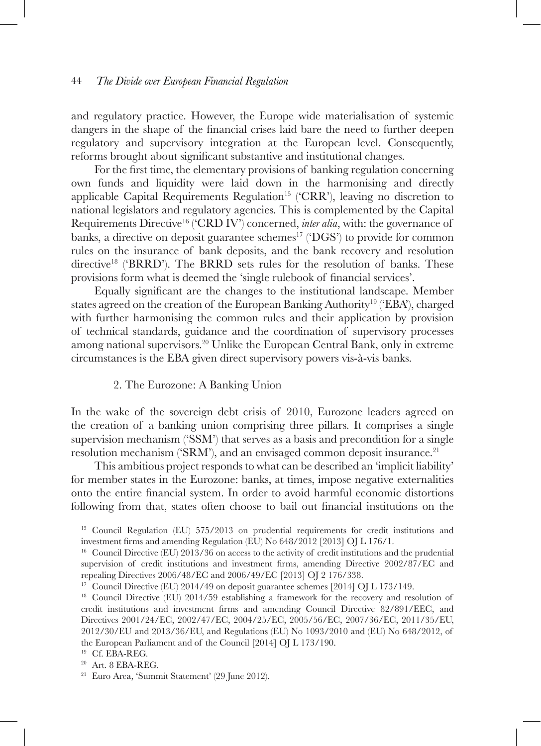and regulatory practice. However, the Europe wide materialisation of systemic dangers in the shape of the financial crises laid bare the need to further deepen regulatory and supervisory integration at the European level. Consequently, reforms brought about significant substantive and institutional changes.

For the first time, the elementary provisions of banking regulation concerning own funds and liquidity were laid down in the harmonising and directly applicable Capital Requirements Regulation<sup>15</sup> ( $CRR$ ), leaving no discretion to national legislators and regulatory agencies. This is complemented by the Capital Requirements Directive<sup>16</sup> ('CRD IV') concerned, *inter alia*, with: the governance of banks, a directive on deposit guarantee schemes<sup>17</sup> ( $\rm DGS'$ ) to provide for common rules on the insurance of bank deposits, and the bank recovery and resolution directive<sup>18</sup> ('BRRD'). The BRRD sets rules for the resolution of banks. These provisions form what is deemed the 'single rulebook of financial services'.

Equally significant are the changes to the institutional landscape. Member states agreed on the creation of the European Banking Authority19 ('EBA'), charged with further harmonising the common rules and their application by provision of technical standards, guidance and the coordination of supervisory processes among national supervisors.20 Unlike the European Central Bank, only in extreme circumstances is the EBA given direct supervisory powers vis-à-vis banks.

### 2. The Eurozone: A Banking Union

In the wake of the sovereign debt crisis of 2010, Eurozone leaders agreed on the creation of a banking union comprising three pillars. It comprises a single supervision mechanism ('SSM') that serves as a basis and precondition for a single resolution mechanism ('SRM'), and an envisaged common deposit insurance.<sup>21</sup>

This ambitious project responds to what can be described an 'implicit liability' for member states in the Eurozone: banks, at times, impose negative externalities onto the entire financial system. In order to avoid harmful economic distortions following from that, states often choose to bail out financial institutions on the

<sup>15</sup> Council Regulation (EU) 575/2013 on prudential requirements for credit institutions and investment firms and amending Regulation (EU) No 648/2012 [2013] OJ L 176/1.

<sup>&</sup>lt;sup>16</sup> Council Directive (EU) 2013/36 on access to the activity of credit institutions and the prudential supervision of credit institutions and investment firms, amending Directive 2002/87/EC and repealing Directives 2006/48/EC and 2006/49/EC [2013] OJ 2 176/338.

<sup>&</sup>lt;sup>17</sup> Council Directive (EU) 2014/49 on deposit guarantee schemes [2014] OJ L 173/149.

<sup>&</sup>lt;sup>18</sup> Council Directive (EU) 2014/59 establishing a framework for the recovery and resolution of credit institutions and investment firms and amending Council Directive 82/891/EEC, and Directives 2001/24/EC, 2002/47/EC, 2004/25/EC, 2005/56/EC, 2007/36/EC, 2011/35/EU, 2012/30/EU and 2013/36/EU, and Regulations (EU) No 1093/2010 and (EU) No 648/2012, of the European Parliament and of the Council [2014] OJ L 173/190.

<sup>19</sup> Cf. EBA-REG.

<sup>20</sup> Art. 8 EBA-REG.

<sup>21</sup> Euro Area, 'Summit Statement' (29 June 2012).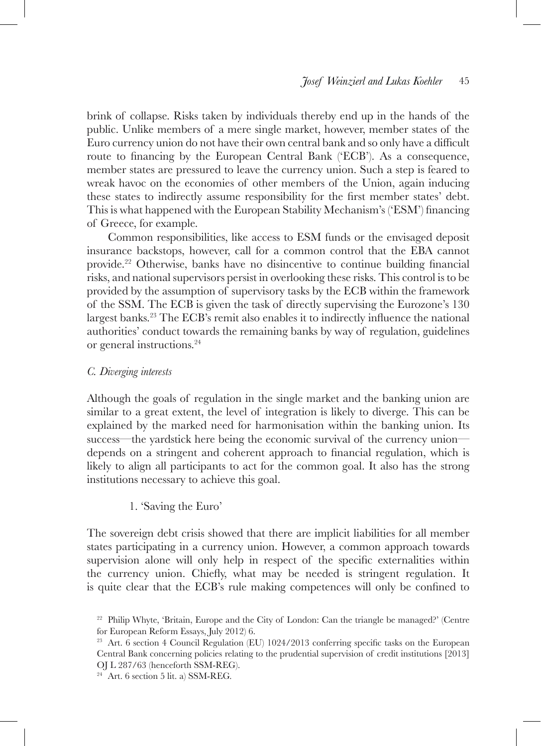brink of collapse. Risks taken by individuals thereby end up in the hands of the public. Unlike members of a mere single market, however, member states of the Euro currency union do not have their own central bank and so only have a difficult route to financing by the European Central Bank ('ECB'). As a consequence, member states are pressured to leave the currency union. Such a step is feared to wreak havoc on the economies of other members of the Union, again inducing these states to indirectly assume responsibility for the first member states' debt. This is what happened with the European Stability Mechanism's ('ESM') financing of Greece, for example.

Common responsibilities, like access to ESM funds or the envisaged deposit insurance backstops, however, call for a common control that the EBA cannot provide.22 Otherwise, banks have no disincentive to continue building financial risks, and national supervisors persist in overlooking these risks. This control is to be provided by the assumption of supervisory tasks by the ECB within the framework of the SSM. The ECB is given the task of directly supervising the Eurozone's 130 largest banks.23 The ECB's remit also enables it to indirectly influence the national authorities' conduct towards the remaining banks by way of regulation, guidelines or general instructions.24

### *C. Diverging interests*

Although the goals of regulation in the single market and the banking union are similar to a great extent, the level of integration is likely to diverge. This can be explained by the marked need for harmonisation within the banking union. Its success—the yardstick here being the economic survival of the currency union depends on a stringent and coherent approach to financial regulation, which is likely to align all participants to act for the common goal. It also has the strong institutions necessary to achieve this goal.

### 1. 'Saving the Euro'

The sovereign debt crisis showed that there are implicit liabilities for all member states participating in a currency union. However, a common approach towards supervision alone will only help in respect of the specific externalities within the currency union. Chiefly, what may be needed is stringent regulation. It is quite clear that the ECB's rule making competences will only be confined to

<sup>&</sup>lt;sup>22</sup> Philip Whyte, 'Britain, Europe and the City of London: Can the triangle be managed?' (Centre for European Reform Essays, July 2012) 6.

<sup>&</sup>lt;sup>23</sup> Art. 6 section 4 Council Regulation (EU) 1024/2013 conferring specific tasks on the European Central Bank concerning policies relating to the prudential supervision of credit institutions [2013] OJ L 287/63 (henceforth SSM-REG).

<sup>24</sup> Art. 6 section 5 lit. a) SSM-REG.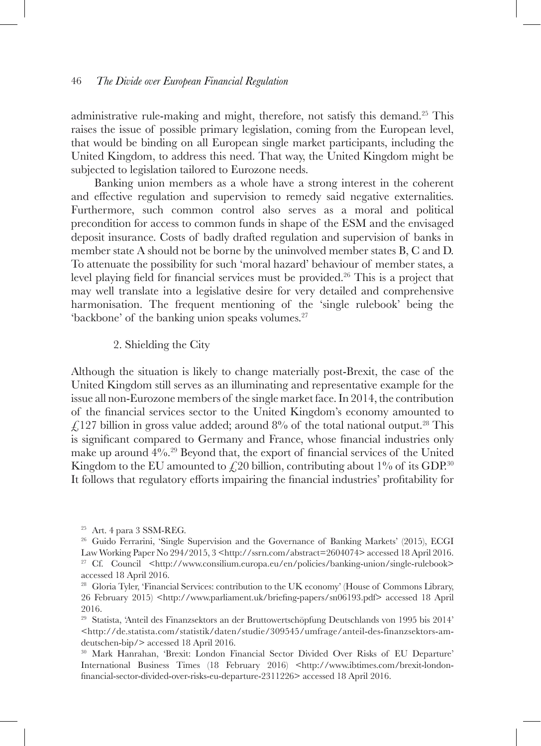administrative rule-making and might, therefore, not satisfy this demand.25 This raises the issue of possible primary legislation, coming from the European level, that would be binding on all European single market participants, including the United Kingdom, to address this need. That way, the United Kingdom might be subjected to legislation tailored to Eurozone needs.

Banking union members as a whole have a strong interest in the coherent and effective regulation and supervision to remedy said negative externalities. Furthermore, such common control also serves as a moral and political precondition for access to common funds in shape of the ESM and the envisaged deposit insurance. Costs of badly drafted regulation and supervision of banks in member state A should not be borne by the uninvolved member states B, C and D. To attenuate the possibility for such 'moral hazard' behaviour of member states, a level playing field for financial services must be provided.26 This is a project that may well translate into a legislative desire for very detailed and comprehensive harmonisation. The frequent mentioning of the 'single rulebook' being the 'backbone' of the banking union speaks volumes.<sup>27</sup>

#### 2. Shielding the City

Although the situation is likely to change materially post-Brexit, the case of the United Kingdom still serves as an illuminating and representative example for the issue all non-Eurozone members of the single market face. In 2014, the contribution of the financial services sector to the United Kingdom's economy amounted to  $\angle$  127 billion in gross value added; around 8% of the total national output.<sup>28</sup> This is significant compared to Germany and France, whose financial industries only make up around 4%.29 Beyond that, the export of financial services of the United Kingdom to the EU amounted to  $\angle$  20 billion, contributing about 1% of its GDP.<sup>30</sup> It follows that regulatory efforts impairing the financial industries' profitability for

<sup>25</sup> Art. 4 para 3 SSM-REG.

<sup>26</sup> Guido Ferrarini, 'Single Supervision and the Governance of Banking Markets' (2015), ECGI Law Working Paper No 294/2015, 3 <http://ssrn.com/abstract=2604074> accessed 18 April 2016. <sup>27</sup> Cf. Council <http://www.consilium.europa.eu/en/policies/banking-union/single-rulebook> accessed 18 April 2016.

<sup>28</sup> Gloria Tyler, 'Financial Services: contribution to the UK economy' (House of Commons Library, 26 February 2015) <http://www.parliament.uk/briefing-papers/sn06193.pdf> accessed 18 April 2016.

<sup>29</sup> Statista, 'Anteil des Finanzsektors an der Bruttowertschöpfung Deutschlands von 1995 bis 2014' <http://de.statista.com/statistik/daten/studie/309545/umfrage/anteil-des-finanzsektors-amdeutschen-bip/> accessed 18 April 2016.

<sup>30</sup> Mark Hanrahan, 'Brexit: London Financial Sector Divided Over Risks of EU Departure' International Business Times (18 February 2016) <http://www.ibtimes.com/brexit-londonfinancial-sector-divided-over-risks-eu-departure-2311226> accessed 18 April 2016.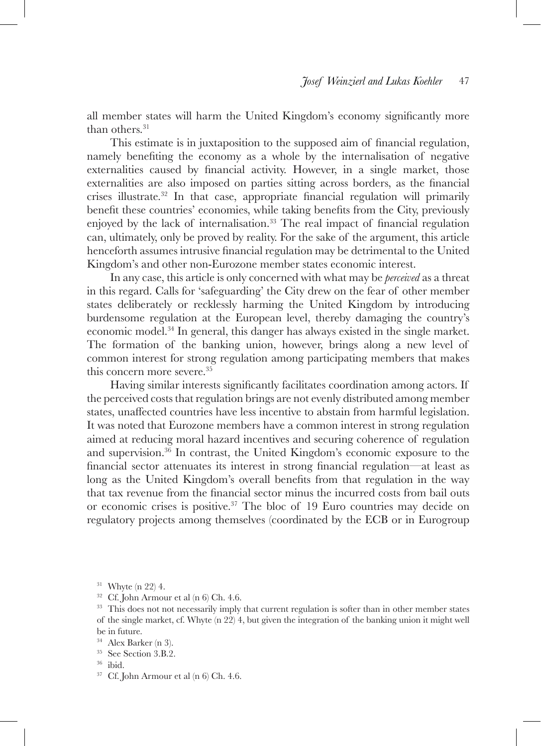all member states will harm the United Kingdom's economy significantly more than others.<sup>31</sup>

This estimate is in juxtaposition to the supposed aim of financial regulation, namely benefiting the economy as a whole by the internalisation of negative externalities caused by financial activity. However, in a single market, those externalities are also imposed on parties sitting across borders, as the financial crises illustrate.32 In that case, appropriate financial regulation will primarily benefit these countries' economies, while taking benefits from the City, previously enjoyed by the lack of internalisation.<sup>33</sup> The real impact of financial regulation can, ultimately, only be proved by reality. For the sake of the argument, this article henceforth assumes intrusive financial regulation may be detrimental to the United Kingdom's and other non-Eurozone member states economic interest.

In any case, this article is only concerned with what may be *perceived* as a threat in this regard. Calls for 'safeguarding' the City drew on the fear of other member states deliberately or recklessly harming the United Kingdom by introducing burdensome regulation at the European level, thereby damaging the country's economic model.34 In general, this danger has always existed in the single market. The formation of the banking union, however, brings along a new level of common interest for strong regulation among participating members that makes this concern more severe.35

Having similar interests significantly facilitates coordination among actors. If the perceived costs that regulation brings are not evenly distributed among member states, unaffected countries have less incentive to abstain from harmful legislation. It was noted that Eurozone members have a common interest in strong regulation aimed at reducing moral hazard incentives and securing coherence of regulation and supervision.36 In contrast, the United Kingdom's economic exposure to the financial sector attenuates its interest in strong financial regulation—at least as long as the United Kingdom's overall benefits from that regulation in the way that tax revenue from the financial sector minus the incurred costs from bail outs or economic crises is positive.<sup>37</sup> The bloc of 19 Euro countries may decide on regulatory projects among themselves (coordinated by the ECB or in Eurogroup

 $31$  Whyte (n 22) 4.

 $32$  Cf. John Armour et al (n 6) Ch. 4.6.

<sup>&</sup>lt;sup>33</sup> This does not not necessarily imply that current regulation is softer than in other member states of the single market, cf. Whyte (n 22) 4, but given the integration of the banking union it might well be in future.

<sup>34</sup> Alex Barker (n 3).

<sup>35</sup> See Section 3.B.2.

<sup>36</sup> ibid.

<sup>37</sup> Cf. John Armour et al (n 6) Ch. 4.6.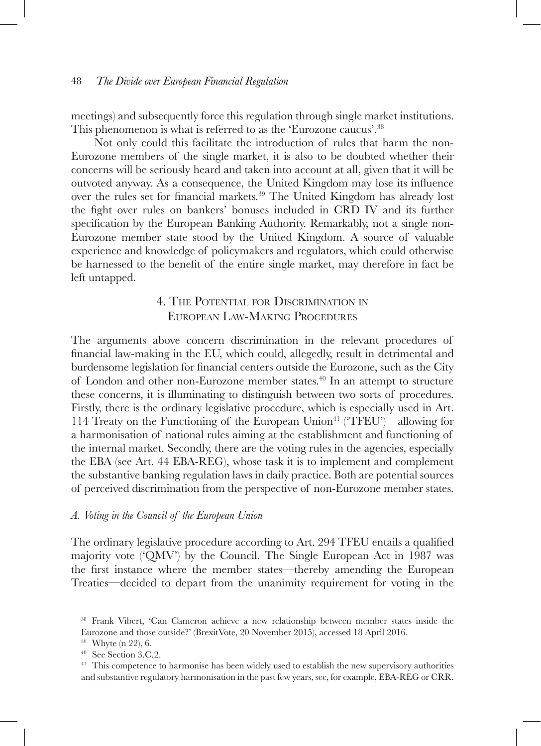meetings) and subsequently force this regulation through single market institutions. This phenomenon is what is referred to as the 'Eurozone caucus'.<sup>38</sup>

Not only could this facilitate the introduction of rules that harm the non-Eurozone members of the single market, it is also to be doubted whether their concerns will be seriously heard and taken into account at all, given that it will be outvoted anyway. As a consequence, the United Kingdom may lose its influence over the rules set for financial markets.39 The United Kingdom has already lost the fight over rules on bankers' bonuses included in CRD IV and its further specification by the European Banking Authority. Remarkably, not a single non-Eurozone member state stood by the United Kingdom. A source of valuable experience and knowledge of policymakers and regulators, which could otherwise be harnessed to the benefit of the entire single market, may therefore in fact be left untapped.

# 4. The Potential for Discrimination in European Law-Making Procedures

The arguments above concern discrimination in the relevant procedures of financial law-making in the EU, which could, allegedly, result in detrimental and burdensome legislation for financial centers outside the Eurozone, such as the City of London and other non-Eurozone member states.40 In an attempt to structure these concerns, it is illuminating to distinguish between two sorts of procedures. Firstly, there is the ordinary legislative procedure, which is especially used in Art. 114 Treaty on the Functioning of the European Union41 ('TFEU')—allowing for a harmonisation of national rules aiming at the establishment and functioning of the internal market. Secondly, there are the voting rules in the agencies, especially the EBA (see Art. 44 EBA-REG), whose task it is to implement and complement the substantive banking regulation laws in daily practice. Both are potential sources of perceived discrimination from the perspective of non-Eurozone member states.

#### *A. Voting in the Council of the European Union*

The ordinary legislative procedure according to Art. 294 TFEU entails a qualified majority vote ('QMV') by the Council. The Single European Act in 1987 was the first instance where the member states—thereby amending the European Treaties—decided to depart from the unanimity requirement for voting in the

<sup>38</sup> Frank Vibert, 'Can Cameron achieve a new relationship between member states inside the Eurozone and those outside?' (BrexitVote, 20 November 2015), accessed 18 April 2016.

<sup>39</sup> Whyte (n 22), 6.

<sup>40</sup> See Section 3.C.2.

<sup>&</sup>lt;sup>41</sup> This competence to harmonise has been widely used to establish the new supervisory authorities and substantive regulatory harmonisation in the past few years, see, for example, EBA-REG or CRR.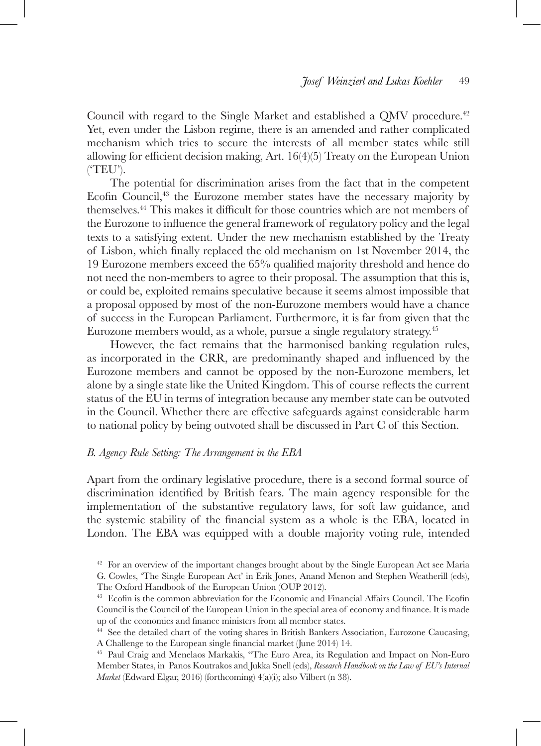Council with regard to the Single Market and established a QMV procedure.<sup>42</sup> Yet, even under the Lisbon regime, there is an amended and rather complicated mechanism which tries to secure the interests of all member states while still allowing for efficient decision making, Art. 16(4)(5) Treaty on the European Union ('TEU').

The potential for discrimination arises from the fact that in the competent Ecofin Council,<sup>43</sup> the Eurozone member states have the necessary majority by themselves.44 This makes it difficult for those countries which are not members of the Eurozone to influence the general framework of regulatory policy and the legal texts to a satisfying extent. Under the new mechanism established by the Treaty of Lisbon, which finally replaced the old mechanism on 1st November 2014, the 19 Eurozone members exceed the 65% qualified majority threshold and hence do not need the non-members to agree to their proposal. The assumption that this is, or could be, exploited remains speculative because it seems almost impossible that a proposal opposed by most of the non-Eurozone members would have a chance of success in the European Parliament. Furthermore, it is far from given that the Eurozone members would, as a whole, pursue a single regulatory strategy.45

However, the fact remains that the harmonised banking regulation rules, as incorporated in the CRR, are predominantly shaped and influenced by the Eurozone members and cannot be opposed by the non-Eurozone members, let alone by a single state like the United Kingdom. This of course reflects the current status of the EU in terms of integration because any member state can be outvoted in the Council. Whether there are effective safeguards against considerable harm to national policy by being outvoted shall be discussed in Part C of this Section.

### *B. Agency Rule Setting: The Arrangement in the EBA*

Apart from the ordinary legislative procedure, there is a second formal source of discrimination identified by British fears. The main agency responsible for the implementation of the substantive regulatory laws, for soft law guidance, and the systemic stability of the financial system as a whole is the EBA, located in London. The EBA was equipped with a double majority voting rule, intended

 $42$  For an overview of the important changes brought about by the Single European Act see Maria G. Cowles, 'The Single European Act' in Erik Jones, Anand Menon and Stephen Weatherill (eds), The Oxford Handbook of the European Union (OUP 2012).

<sup>&</sup>lt;sup>43</sup> Ecofin is the common abbreviation for the Economic and Financial Affairs Council. The Ecofin Council is the Council of the European Union in the special area of economy and finance. It is made up of the economics and finance ministers from all member states.

<sup>44</sup> See the detailed chart of the voting shares in British Bankers Association, Eurozone Caucasing, A Challenge to the European single financial market (June 2014) 14.

<sup>45</sup> Paul Craig and Menelaos Markakis, "The Euro Area, its Regulation and Impact on Non-Euro Member States, in Panos Koutrakos and Jukka Snell (eds), *Research Handbook on the Law of EU's Internal Market* (Edward Elgar, 2016) (forthcoming) 4(a)(i); also Vilbert (n 38).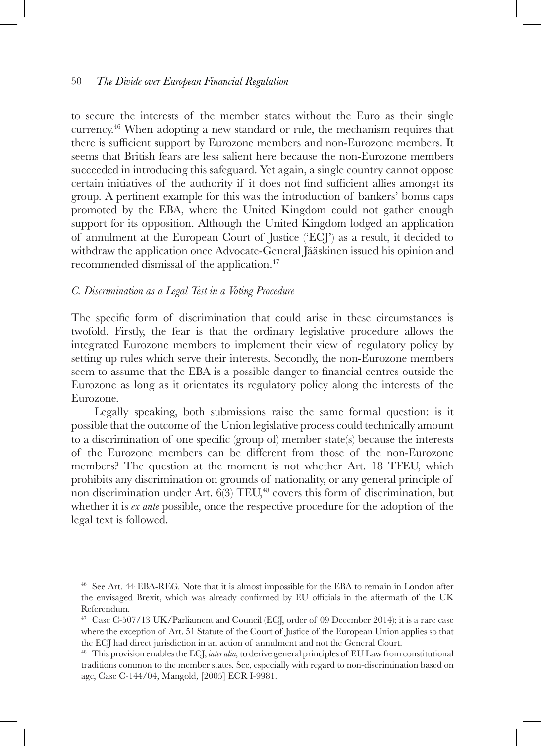to secure the interests of the member states without the Euro as their single currency.46 When adopting a new standard or rule, the mechanism requires that there is sufficient support by Eurozone members and non-Eurozone members. It seems that British fears are less salient here because the non-Eurozone members succeeded in introducing this safeguard. Yet again, a single country cannot oppose certain initiatives of the authority if it does not find sufficient allies amongst its group. A pertinent example for this was the introduction of bankers' bonus caps promoted by the EBA, where the United Kingdom could not gather enough support for its opposition. Although the United Kingdom lodged an application of annulment at the European Court of Justice ('ECJ') as a result, it decided to withdraw the application once Advocate-General Jääskinen issued his opinion and recommended dismissal of the application.47

#### *C. Discrimination as a Legal Test in a Voting Procedure*

The specific form of discrimination that could arise in these circumstances is twofold. Firstly, the fear is that the ordinary legislative procedure allows the integrated Eurozone members to implement their view of regulatory policy by setting up rules which serve their interests. Secondly, the non-Eurozone members seem to assume that the EBA is a possible danger to financial centres outside the Eurozone as long as it orientates its regulatory policy along the interests of the Eurozone.

Legally speaking, both submissions raise the same formal question: is it possible that the outcome of the Union legislative process could technically amount to a discrimination of one specific (group of) member state(s) because the interests of the Eurozone members can be different from those of the non-Eurozone members? The question at the moment is not whether Art. 18 TFEU, which prohibits any discrimination on grounds of nationality, or any general principle of non discrimination under Art.  $6(3)$  TEU, $48$  covers this form of discrimination, but whether it is *ex ante* possible, once the respective procedure for the adoption of the legal text is followed.

<sup>46</sup> See Art. 44 EBA-REG. Note that it is almost impossible for the EBA to remain in London after the envisaged Brexit, which was already confirmed by EU officials in the aftermath of the UK Referendum.

<sup>47</sup> Case C-507/13 UK/Parliament and Council (ECJ, order of 09 December 2014); it is a rare case where the exception of Art. 51 Statute of the Court of Justice of the European Union applies so that the ECJ had direct jurisdiction in an action of annulment and not the General Court.

<sup>48</sup> This provision enables the ECJ, *inter alia,* to derive general principles of EU Law from constitutional traditions common to the member states. See, especially with regard to non-discrimination based on age, Case C-144/04, Mangold, [2005] ECR I-9981.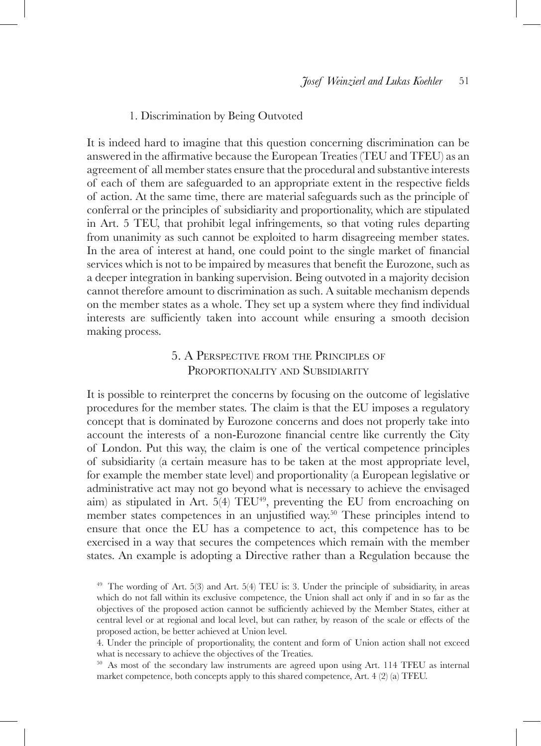### 1. Discrimination by Being Outvoted

It is indeed hard to imagine that this question concerning discrimination can be answered in the affirmative because the European Treaties (TEU and TFEU) as an agreement of all member states ensure that the procedural and substantive interests of each of them are safeguarded to an appropriate extent in the respective fields of action. At the same time, there are material safeguards such as the principle of conferral or the principles of subsidiarity and proportionality, which are stipulated in Art. 5 TEU, that prohibit legal infringements, so that voting rules departing from unanimity as such cannot be exploited to harm disagreeing member states. In the area of interest at hand, one could point to the single market of financial services which is not to be impaired by measures that benefit the Eurozone, such as a deeper integration in banking supervision. Being outvoted in a majority decision cannot therefore amount to discrimination as such. A suitable mechanism depends on the member states as a whole. They set up a system where they find individual interests are sufficiently taken into account while ensuring a smooth decision making process.

# 5. A Perspective from the Principles of PROPORTIONALITY AND SUBSIDIARITY

It is possible to reinterpret the concerns by focusing on the outcome of legislative procedures for the member states. The claim is that the EU imposes a regulatory concept that is dominated by Eurozone concerns and does not properly take into account the interests of a non-Eurozone financial centre like currently the City of London. Put this way, the claim is one of the vertical competence principles of subsidiarity (a certain measure has to be taken at the most appropriate level, for example the member state level) and proportionality (a European legislative or administrative act may not go beyond what is necessary to achieve the envisaged aim) as stipulated in Art.  $5(4)$  TEU<sup>49</sup>, preventing the EU from encroaching on member states competences in an unjustified way.<sup>50</sup> These principles intend to ensure that once the EU has a competence to act, this competence has to be exercised in a way that secures the competences which remain with the member states. An example is adopting a Directive rather than a Regulation because the

<sup>49</sup> The wording of Art. 5(3) and Art. 5(4) TEU is: 3. Under the principle of subsidiarity, in areas which do not fall within its exclusive competence, the Union shall act only if and in so far as the objectives of the proposed action cannot be sufficiently achieved by the Member States, either at central level or at regional and local level, but can rather, by reason of the scale or effects of the proposed action, be better achieved at Union level.

<sup>4.</sup> Under the principle of proportionality, the content and form of Union action shall not exceed what is necessary to achieve the objectives of the Treaties.

<sup>&</sup>lt;sup>50</sup> As most of the secondary law instruments are agreed upon using Art. 114 TFEU as internal market competence, both concepts apply to this shared competence, Art. 4 (2) (a) TFEU.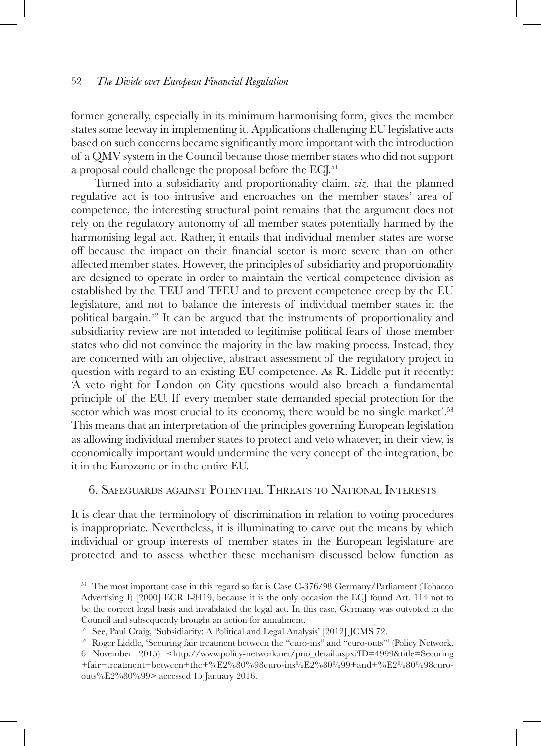former generally, especially in its minimum harmonising form, gives the member states some leeway in implementing it. Applications challenging EU legislative acts based on such concerns became significantly more important with the introduction of a QMV system in the Council because those member states who did not support a proposal could challenge the proposal before the ECJ.<sup>51</sup>

Turned into a subsidiarity and proportionality claim, *viz.* that the planned regulative act is too intrusive and encroaches on the member states' area of competence, the interesting structural point remains that the argument does not rely on the regulatory autonomy of all member states potentially harmed by the harmonising legal act. Rather, it entails that individual member states are worse off because the impact on their financial sector is more severe than on other affected member states. However, the principles of subsidiarity and proportionality are designed to operate in order to maintain the vertical competence division as established by the TEU and TFEU and to prevent competence creep by the EU legislature, and not to balance the interests of individual member states in the political bargain.52 It can be argued that the instruments of proportionality and subsidiarity review are not intended to legitimise political fears of those member states who did not convince the majority in the law making process. Instead, they are concerned with an objective, abstract assessment of the regulatory project in question with regard to an existing EU competence. As R. Liddle put it recently: 'A veto right for London on City questions would also breach a fundamental principle of the EU. If every member state demanded special protection for the sector which was most crucial to its economy, there would be no single market'.<sup>53</sup> This means that an interpretation of the principles governing European legislation as allowing individual member states to protect and veto whatever, in their view, is economically important would undermine the very concept of the integration, be it in the Eurozone or in the entire EU.

# 6. Safeguards against Potential Threats to National Interests

It is clear that the terminology of discrimination in relation to voting procedures is inappropriate. Nevertheless, it is illuminating to carve out the means by which individual or group interests of member states in the European legislature are protected and to assess whether these mechanism discussed below function as

<sup>&</sup>lt;sup>51</sup> The most important case in this regard so far is Case C-376/98 Germany/Parliament (Tobacco Advertising I) [2000] ECR I-8419, because it is the only occasion the ECJ found Art. 114 not to be the correct legal basis and invalidated the legal act. In this case, Germany was outvoted in the Council and subsequently brought an action for annulment.

<sup>52</sup> See, Paul Craig, 'Subsidiarity: A Political and Legal Analysis' [2012] JCMS 72.

<sup>53</sup> Roger Liddle, 'Securing fair treatment between the "euro-ins" and "euro-outs"' (Policy Network, 6 November 2015) <http://www.policy-network.net/pno\_detail.aspx?ID=4999&title=Securing

<sup>+</sup>fair+treatment+between+the+%E2%80%98euro-ins%E2%80%99+and+%E2%80%98euroouts%E2%80%99> accessed 15 January 2016.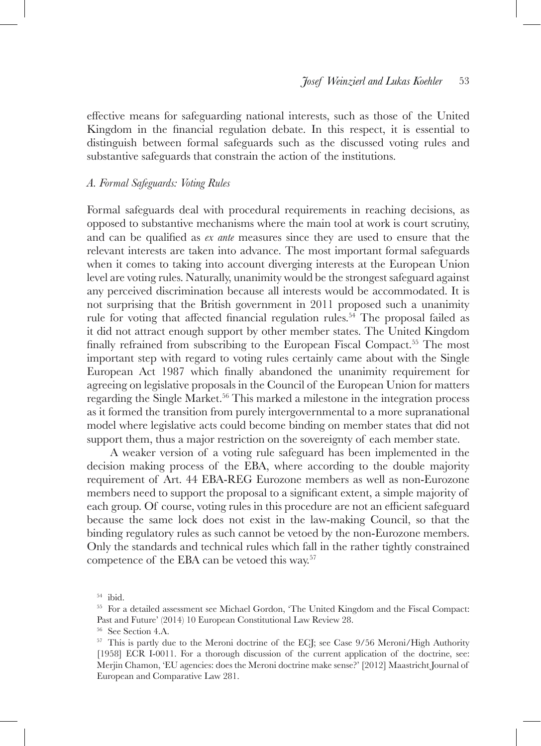effective means for safeguarding national interests, such as those of the United Kingdom in the financial regulation debate. In this respect, it is essential to distinguish between formal safeguards such as the discussed voting rules and substantive safeguards that constrain the action of the institutions.

#### *A. Formal Safeguards: Voting Rules*

Formal safeguards deal with procedural requirements in reaching decisions, as opposed to substantive mechanisms where the main tool at work is court scrutiny, and can be qualified as *ex ante* measures since they are used to ensure that the relevant interests are taken into advance. The most important formal safeguards when it comes to taking into account diverging interests at the European Union level are voting rules. Naturally, unanimity would be the strongest safeguard against any perceived discrimination because all interests would be accommodated. It is not surprising that the British government in 2011 proposed such a unanimity rule for voting that affected financial regulation rules.<sup>54</sup> The proposal failed as it did not attract enough support by other member states. The United Kingdom finally refrained from subscribing to the European Fiscal Compact.<sup>55</sup> The most important step with regard to voting rules certainly came about with the Single European Act 1987 which finally abandoned the unanimity requirement for agreeing on legislative proposals in the Council of the European Union for matters regarding the Single Market.56 This marked a milestone in the integration process as it formed the transition from purely intergovernmental to a more supranational model where legislative acts could become binding on member states that did not support them, thus a major restriction on the sovereignty of each member state.

A weaker version of a voting rule safeguard has been implemented in the decision making process of the EBA, where according to the double majority requirement of Art. 44 EBA-REG Eurozone members as well as non-Eurozone members need to support the proposal to a significant extent, a simple majority of each group. Of course, voting rules in this procedure are not an efficient safeguard because the same lock does not exist in the law-making Council, so that the binding regulatory rules as such cannot be vetoed by the non-Eurozone members. Only the standards and technical rules which fall in the rather tightly constrained competence of the EBA can be vetoed this way.57

<sup>54</sup> ibid.

<sup>&</sup>lt;sup>55</sup> For a detailed assessment see Michael Gordon, 'The United Kingdom and the Fiscal Compact: Past and Future' (2014) 10 European Constitutional Law Review 28.

<sup>56</sup> See Section 4.A.

<sup>&</sup>lt;sup>57</sup> This is partly due to the Meroni doctrine of the ECJ; see Case 9/56 Meroni/High Authority [1958] ECR I-0011. For a thorough discussion of the current application of the doctrine, see: Merjin Chamon, 'EU agencies: does the Meroni doctrine make sense?' [2012] Maastricht Journal of European and Comparative Law 281.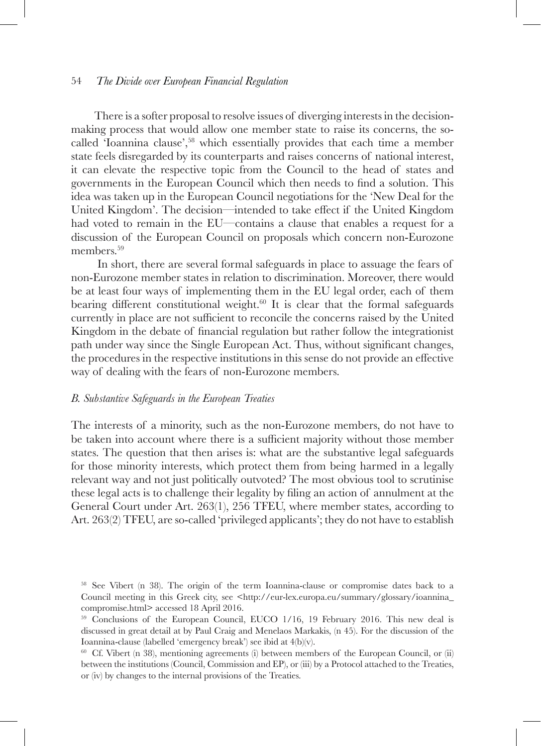There is a softer proposal to resolve issues of diverging interests in the decisionmaking process that would allow one member state to raise its concerns, the socalled 'Ioannina clause',58 which essentially provides that each time a member state feels disregarded by its counterparts and raises concerns of national interest, it can elevate the respective topic from the Council to the head of states and governments in the European Council which then needs to find a solution. This idea was taken up in the European Council negotiations for the 'New Deal for the United Kingdom'. The decision—intended to take effect if the United Kingdom had voted to remain in the EU—contains a clause that enables a request for a discussion of the European Council on proposals which concern non-Eurozone members.<sup>59</sup>

In short, there are several formal safeguards in place to assuage the fears of non-Eurozone member states in relation to discrimination. Moreover, there would be at least four ways of implementing them in the EU legal order, each of them bearing different constitutional weight. $60$  It is clear that the formal safeguards currently in place are not sufficient to reconcile the concerns raised by the United Kingdom in the debate of financial regulation but rather follow the integrationist path under way since the Single European Act. Thus, without significant changes, the procedures in the respective institutions in this sense do not provide an effective way of dealing with the fears of non-Eurozone members.

#### *B. Substantive Safeguards in the European Treaties*

The interests of a minority, such as the non-Eurozone members, do not have to be taken into account where there is a sufficient majority without those member states. The question that then arises is: what are the substantive legal safeguards for those minority interests, which protect them from being harmed in a legally relevant way and not just politically outvoted? The most obvious tool to scrutinise these legal acts is to challenge their legality by filing an action of annulment at the General Court under Art. 263(1), 256 TFEU, where member states, according to Art. 263(2) TFEU, are so-called 'privileged applicants'; they do not have to establish

<sup>58</sup> See Vibert (n 38). The origin of the term Ioannina-clause or compromise dates back to a Council meeting in this Greek city, see <http://eur-lex.europa.eu/summary/glossary/ioannina\_ compromise.html> accessed 18 April 2016.

<sup>59</sup> Conclusions of the European Council, EUCO 1/16, 19 February 2016. This new deal is discussed in great detail at by Paul Craig and Menelaos Markakis, (n 45). For the discussion of the Ioannina-clause (labelled 'emergency break') see ibid at 4(b)(v).

<sup>&</sup>lt;sup>60</sup> Cf. Vibert (n 38), mentioning agreements (i) between members of the European Council, or (ii) between the institutions (Council, Commission and EP), or (iii) by a Protocol attached to the Treaties, or (iv) by changes to the internal provisions of the Treaties.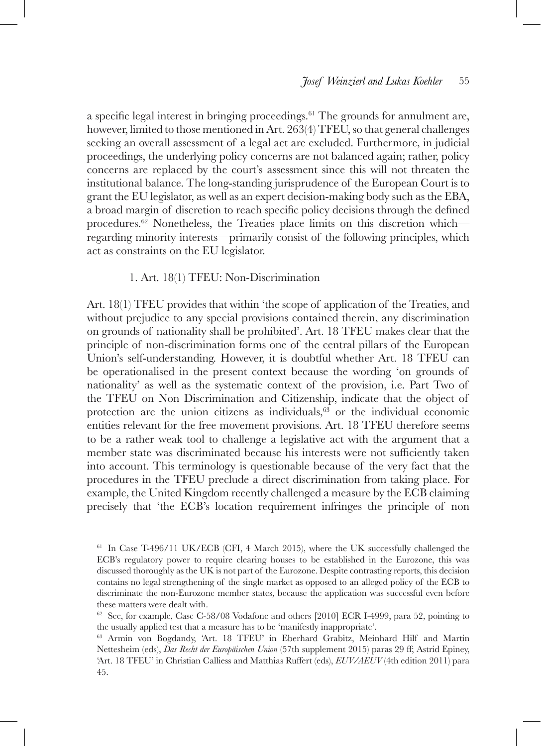a specific legal interest in bringing proceedings.<sup>61</sup> The grounds for annulment are, however, limited to those mentioned in Art. 263(4) TFEU, so that general challenges seeking an overall assessment of a legal act are excluded. Furthermore, in judicial proceedings, the underlying policy concerns are not balanced again; rather, policy concerns are replaced by the court's assessment since this will not threaten the institutional balance. The long-standing jurisprudence of the European Court is to grant the EU legislator, as well as an expert decision-making body such as the EBA, a broad margin of discretion to reach specific policy decisions through the defined procedures.62 Nonetheless, the Treaties place limits on this discretion which regarding minority interests—primarily consist of the following principles, which act as constraints on the EU legislator.

### 1. Art. 18(1) TFEU: Non-Discrimination

Art. 18(1) TFEU provides that within 'the scope of application of the Treaties, and without prejudice to any special provisions contained therein, any discrimination on grounds of nationality shall be prohibited'. Art. 18 TFEU makes clear that the principle of non-discrimination forms one of the central pillars of the European Union's self-understanding. However, it is doubtful whether Art. 18 TFEU can be operationalised in the present context because the wording 'on grounds of nationality' as well as the systematic context of the provision, i.e. Part Two of the TFEU on Non Discrimination and Citizenship, indicate that the object of protection are the union citizens as individuals,<sup>63</sup> or the individual economic entities relevant for the free movement provisions. Art. 18 TFEU therefore seems to be a rather weak tool to challenge a legislative act with the argument that a member state was discriminated because his interests were not sufficiently taken into account. This terminology is questionable because of the very fact that the procedures in the TFEU preclude a direct discrimination from taking place. For example, the United Kingdom recently challenged a measure by the ECB claiming precisely that 'the ECB's location requirement infringes the principle of non

<sup>61</sup> In Case T-496/11 UK/ECB (CFI, 4 March 2015), where the UK successfully challenged the ECB's regulatory power to require clearing houses to be established in the Eurozone, this was discussed thoroughly as the UK is not part of the Eurozone. Despite contrasting reports, this decision contains no legal strengthening of the single market as opposed to an alleged policy of the ECB to discriminate the non-Eurozone member states, because the application was successful even before these matters were dealt with.

 $62$  See, for example, Case C-58/08 Vodafone and others [2010] ECR I-4999, para 52, pointing to the usually applied test that a measure has to be 'manifestly inappropriate'.

<sup>63</sup> Armin von Bogdandy, 'Art. 18 TFEU' in Eberhard Grabitz, Meinhard Hilf and Martin Nettesheim (eds), *Das Recht der Europäischen Union* (57th supplement 2015) paras 29 ff; Astrid Epiney, 'Art. 18 TFEU' in Christian Calliess and Matthias Ruffert (eds), *EUV/AEUV* (4th edition 2011) para 45.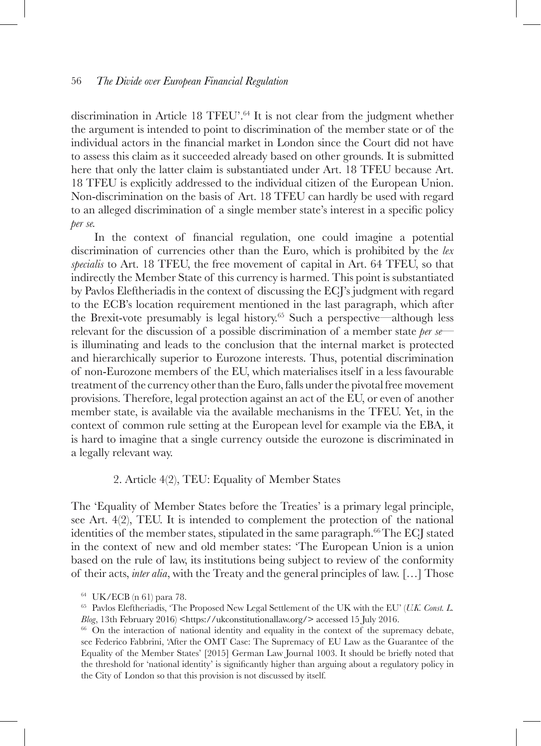discrimination in Article 18 TFEU'.64 It is not clear from the judgment whether the argument is intended to point to discrimination of the member state or of the individual actors in the financial market in London since the Court did not have to assess this claim as it succeeded already based on other grounds. It is submitted here that only the latter claim is substantiated under Art. 18 TFEU because Art. 18 TFEU is explicitly addressed to the individual citizen of the European Union. Non-discrimination on the basis of Art. 18 TFEU can hardly be used with regard to an alleged discrimination of a single member state's interest in a specific policy *per se.*

In the context of financial regulation, one could imagine a potential discrimination of currencies other than the Euro, which is prohibited by the *lex specialis* to Art. 18 TFEU, the free movement of capital in Art. 64 TFEU, so that indirectly the Member State of this currency is harmed. This point is substantiated by Pavlos Eleftheriadis in the context of discussing the ECJ's judgment with regard to the ECB's location requirement mentioned in the last paragraph, which after the Brexit-vote presumably is legal history.<sup>65</sup> Such a perspective—although less relevant for the discussion of a possible discrimination of a member state *per se* is illuminating and leads to the conclusion that the internal market is protected and hierarchically superior to Eurozone interests. Thus, potential discrimination of non-Eurozone members of the EU, which materialises itself in a less favourable treatment of the currency other than the Euro, falls under the pivotal free movement provisions. Therefore, legal protection against an act of the EU, or even of another member state, is available via the available mechanisms in the TFEU. Yet, in the context of common rule setting at the European level for example via the EBA, it is hard to imagine that a single currency outside the eurozone is discriminated in a legally relevant way.

### 2. Article 4(2), TEU: Equality of Member States

The 'Equality of Member States before the Treaties' is a primary legal principle, see Art. 4(2), TEU. It is intended to complement the protection of the national identities of the member states, stipulated in the same paragraph.<sup>66</sup>The ECJ stated in the context of new and old member states: 'The European Union is a union based on the rule of law, its institutions being subject to review of the conformity of their acts, *inter alia*, with the Treaty and the general principles of law. […] Those

<sup>64</sup> UK/ECB (n 61) para 78.

<sup>65</sup> Pavlos Eleftheriadis, 'The Proposed New Legal Settlement of the UK with the EU' (*U.K. Const. L. Blog*, 13th February 2016) <https://ukconstitutionallaw.org/> accessed 15 July 2016.

<sup>&</sup>lt;sup>66</sup> On the interaction of national identity and equality in the context of the supremacy debate, see Federico Fabbrini, 'After the OMT Case: The Supremacy of EU Law as the Guarantee of the Equality of the Member States' [2015] German Law Journal 1003. It should be briefly noted that the threshold for 'national identity' is significantly higher than arguing about a regulatory policy in the City of London so that this provision is not discussed by itself.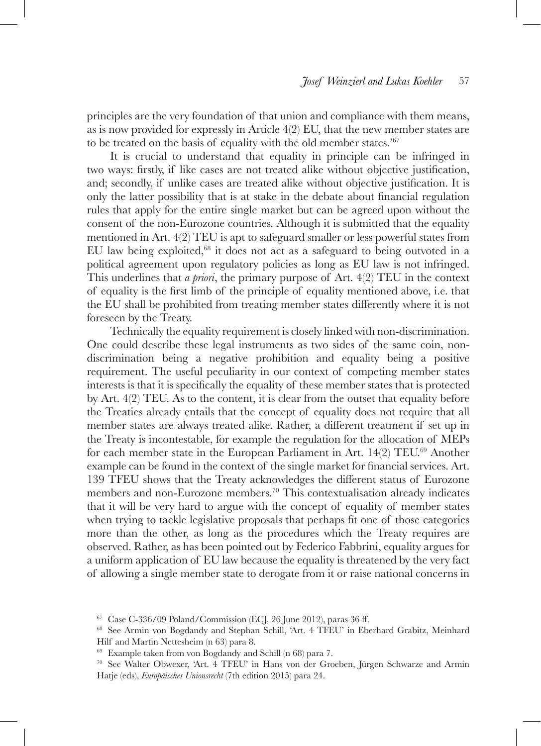principles are the very foundation of that union and compliance with them means, as is now provided for expressly in Article 4(2) EU, that the new member states are to be treated on the basis of equality with the old member states.'<sup>67</sup>

It is crucial to understand that equality in principle can be infringed in two ways: firstly, if like cases are not treated alike without objective justification, and; secondly, if unlike cases are treated alike without objective justification. It is only the latter possibility that is at stake in the debate about financial regulation rules that apply for the entire single market but can be agreed upon without the consent of the non-Eurozone countries. Although it is submitted that the equality mentioned in Art. 4(2) TEU is apt to safeguard smaller or less powerful states from EU law being exploited,<sup>68</sup> it does not act as a safeguard to being outvoted in a political agreement upon regulatory policies as long as EU law is not infringed. This underlines that *a priori*, the primary purpose of Art. 4(2) TEU in the context of equality is the first limb of the principle of equality mentioned above, i.e. that the EU shall be prohibited from treating member states differently where it is not foreseen by the Treaty.

Technically the equality requirement is closely linked with non-discrimination. One could describe these legal instruments as two sides of the same coin, nondiscrimination being a negative prohibition and equality being a positive requirement. The useful peculiarity in our context of competing member states interests is that it is specifically the equality of these member states that is protected by Art. 4(2) TEU. As to the content, it is clear from the outset that equality before the Treaties already entails that the concept of equality does not require that all member states are always treated alike. Rather, a different treatment if set up in the Treaty is incontestable, for example the regulation for the allocation of MEPs for each member state in the European Parliament in Art. 14(2) TEU.<sup>69</sup> Another example can be found in the context of the single market for financial services. Art. 139 TFEU shows that the Treaty acknowledges the different status of Eurozone members and non-Eurozone members.70 This contextualisation already indicates that it will be very hard to argue with the concept of equality of member states when trying to tackle legislative proposals that perhaps fit one of those categories more than the other, as long as the procedures which the Treaty requires are observed. Rather, as has been pointed out by Federico Fabbrini, equality argues for a uniform application of EU law because the equality is threatened by the very fact of allowing a single member state to derogate from it or raise national concerns in

 $67$  Case C-336/09 Poland/Commission (ECJ, 26 June 2012), paras 36 ff.

<sup>68</sup> See Armin von Bogdandy and Stephan Schill, 'Art. 4 TFEU' in Eberhard Grabitz, Meinhard Hilf and Martin Nettesheim (n 63) para 8.

<sup>69</sup> Example taken from von Bogdandy and Schill (n 68) para 7.

<sup>70</sup> See Walter Obwexer, 'Art. 4 TFEU' in Hans von der Groeben, Jürgen Schwarze and Armin Hatje (eds), *Europäisches Unionsrecht* (7th edition 2015) para 24.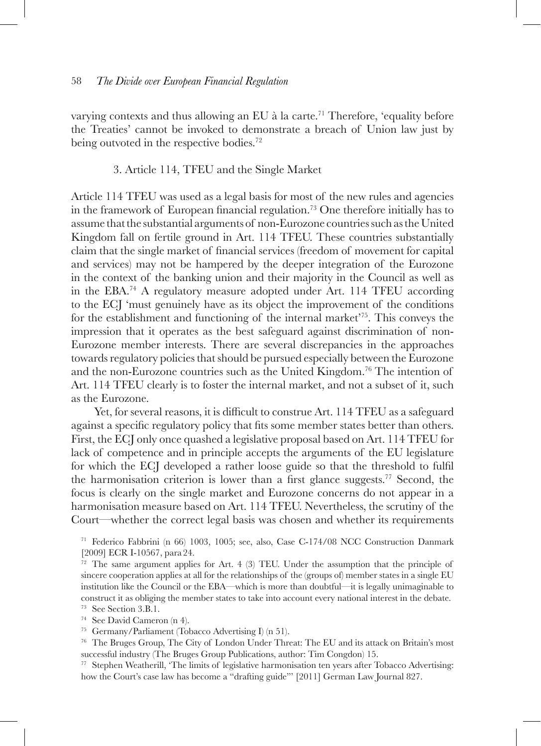varying contexts and thus allowing an EU à la carte.<sup>71</sup> Therefore, 'equality before the Treaties' cannot be invoked to demonstrate a breach of Union law just by being outvoted in the respective bodies.<sup>72</sup>

### 3. Article 114, TFEU and the Single Market

Article 114 TFEU was used as a legal basis for most of the new rules and agencies in the framework of European financial regulation.73 One therefore initially has to assume that the substantial arguments of non-Eurozone countries such as the United Kingdom fall on fertile ground in Art. 114 TFEU. These countries substantially claim that the single market of financial services (freedom of movement for capital and services) may not be hampered by the deeper integration of the Eurozone in the context of the banking union and their majority in the Council as well as in the EBA.<sup>74</sup> A regulatory measure adopted under Art. 114 TFEU according to the ECJ 'must genuinely have as its object the improvement of the conditions for the establishment and functioning of the internal market'75. This conveys the impression that it operates as the best safeguard against discrimination of non-Eurozone member interests. There are several discrepancies in the approaches towards regulatory policies that should be pursued especially between the Eurozone and the non-Eurozone countries such as the United Kingdom.76 The intention of Art. 114 TFEU clearly is to foster the internal market, and not a subset of it, such as the Eurozone.

Yet, for several reasons, it is difficult to construe Art. 114 TFEU as a safeguard against a specific regulatory policy that fits some member states better than others. First, the ECJ only once quashed a legislative proposal based on Art. 114 TFEU for lack of competence and in principle accepts the arguments of the EU legislature for which the ECJ developed a rather loose guide so that the threshold to fulfil the harmonisation criterion is lower than a first glance suggests.77 Second, the focus is clearly on the single market and Eurozone concerns do not appear in a harmonisation measure based on Art. 114 TFEU. Nevertheless, the scrutiny of the Court—whether the correct legal basis was chosen and whether its requirements

<sup>71</sup> Federico Fabbrini (n 66) 1003, 1005; see, also, Case C-174/08 NCC Construction Danmark [2009] ECR I-10567, para 24.

 $72$  The same argument applies for Art. 4 (3) TEU. Under the assumption that the principle of sincere cooperation applies at all for the relationships of the (groups of) member states in a single EU institution like the Council or the EBA—which is more than doubtful—it is legally unimaginable to construct it as obliging the member states to take into account every national interest in the debate.

<sup>77</sup> Stephen Weatherill, 'The limits of legislative harmonisation ten years after Tobacco Advertising: how the Court's case law has become a "drafting guide"' [2011] German Law Journal 827.

<sup>&</sup>lt;sup>73</sup> See Section 3.B.1.<br><sup>74</sup> See David Cameron (n 4).

<sup>75</sup> Germany/Parliament (Tobacco Advertising I) (n 51).

<sup>76</sup> The Bruges Group, The City of London Under Threat: The EU and its attack on Britain's most successful industry (The Bruges Group Publications, author: Tim Congdon) 15.